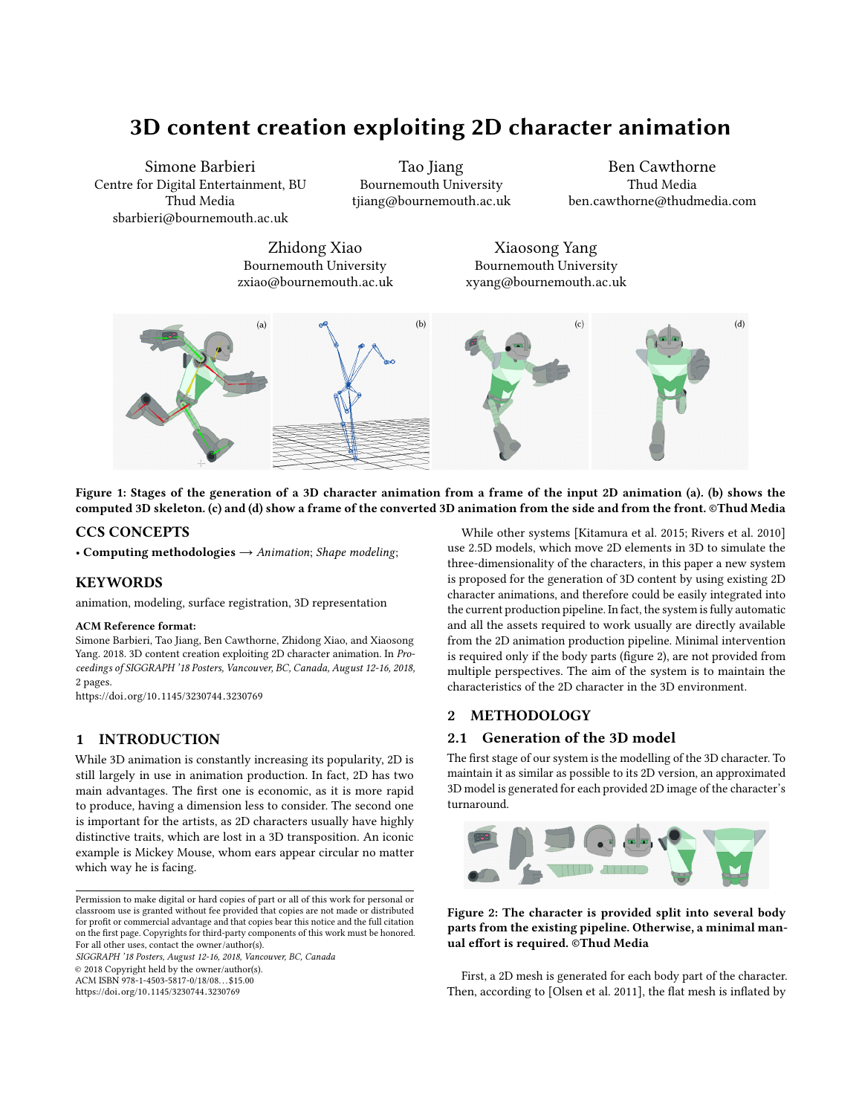# 3D content creation exploiting 2D character animation

Simone Barbieri Centre for Digital Entertainment, BU Thud Media sbarbieri@bournemouth.ac.uk

Tao Jiang Bournemouth University tjiang@bournemouth.ac.uk

Ben Cawthorne Thud Media ben.cawthorne@thudmedia.com

Zhidong Xiao Bournemouth University zxiao@bournemouth.ac.uk

Xiaosong Yang Bournemouth University xyang@bournemouth.ac.uk

<span id="page-0-1"></span>

Figure 1: Stages of the generation of a 3D character animation from a frame of the input 2D animation (a). (b) shows the computed 3D skeleton. (c) and (d) show a frame of the converted 3D animation from the side and from the front. ©Thud Media

# CCS CONCEPTS

• Computing methodologies  $\rightarrow$  Animation; Shape modeling;

## KEYWORDS

animation, modeling, surface registration, 3D representation

#### ACM Reference format:

Simone Barbieri, Tao Jiang, Ben Cawthorne, Zhidong Xiao, and Xiaosong Yang. 2018. 3D content creation exploiting 2D character animation. In Proceedings of SIGGRAPH '18 Posters, Vancouver, BC, Canada, August 12-16, 2018, [2](#page-1-0) pages.

https://doi.org/10.[1145/3230744](https://doi.org/10.1145/3230744.3230769).<sup>3230769</sup>

# 1 INTRODUCTION

While 3D animation is constantly increasing its popularity, 2D is still largely in use in animation production. In fact, 2D has two main advantages. The first one is economic, as it is more rapid to produce, having a dimension less to consider. The second one is important for the artists, as 2D characters usually have highly distinctive traits, which are lost in a 3D transposition. An iconic example is Mickey Mouse, whom ears appear circular no matter which way he is facing.

Permission to make digital or hard copies of part or all of this work for personal or classroom use is granted without fee provided that copies are not made or distributed for profit or commercial advantage and that copies bear this notice and the full citation on the first page. Copyrights for third-party components of this work must be honored. For all other uses, contact the owner/author(s).

SIGGRAPH '18 Posters, August 12-16, 2018, Vancouver, BC, Canada

© 2018 Copyright held by the owner/author(s).

ACM ISBN 978-1-4503-5817-0/18/08. . . \$15.00

https://doi.org/10.[1145/3230744](https://doi.org/10.1145/3230744.3230769).<sup>3230769</sup>

While other systems [\[Kitamura et al.](#page-1-1) [2015;](#page-1-1) [Rivers et al.](#page-1-2) [2010\]](#page-1-2) use 2.5D models, which move 2D elements in 3D to simulate the three-dimensionality of the characters, in this paper a new system is proposed for the generation of 3D content by using existing 2D character animations, and therefore could be easily integrated into the current production pipeline. In fact, the system is fully automatic and all the assets required to work usually are directly available from the 2D animation production pipeline. Minimal intervention is required only if the body parts (figure [2\)](#page-0-0), are not provided from multiple perspectives. The aim of the system is to maintain the characteristics of the 2D character in the 3D environment.

## 2 METHODOLOGY

# 2.1 Generation of the 3D model

The first stage of our system is the modelling of the 3D character. To maintain it as similar as possible to its 2D version, an approximated 3D model is generated for each provided 2D image of the character's turnaround.

<span id="page-0-0"></span>

Figure 2: The character is provided split into several body parts from the existing pipeline. Otherwise, a minimal manual effort is required. ©Thud Media

First, a 2D mesh is generated for each body part of the character. Then, according to [\[Olsen et al.](#page-1-3) [2011\]](#page-1-3), the flat mesh is inflated by